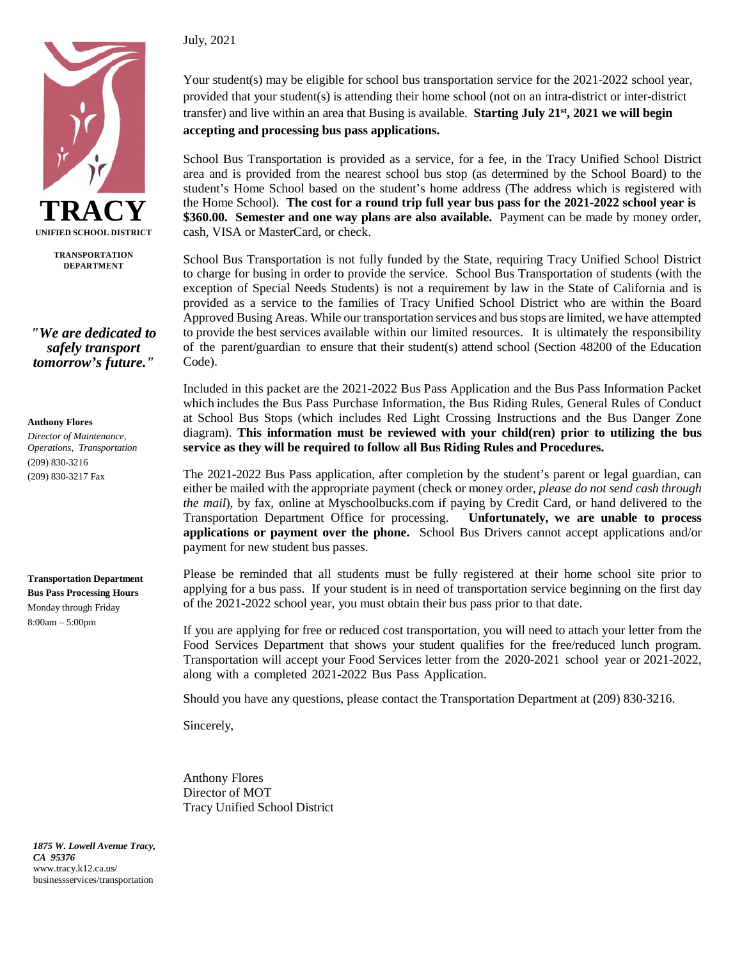

**TRANSPORTATION DEPARTMENT**

*"We are dedicated to safely transport tomorrow's future."*

#### **Anthony Flores**

*Director of Maintenance, Operations, Transportation* (209) 830-3216 (209) 830-3217 Fax

**Transportation Department Bus Pass Processing Hours**  Monday through Friday 8:00am – 5:00pm

July, 2021

Your student(s) may be eligible for school bus transportation service for the 2021-2022 school year, provided that your student(s) is attending their home school (not on an intra-district or inter-district transfer) and live within an area that Busing is available. **Starting July 21st, 2021 we will begin accepting and processing bus pass applications.** 

School Bus Transportation is provided as a service, for a fee, in the Tracy Unified School District area and is provided from the nearest school bus stop (as determined by the School Board) to the student's Home School based on the student's home address (The address which is registered with the Home School). **The cost for a round trip full year bus pass for the 2021-2022 school year is \$360.00. Semester and one way plans are also available.** Payment can be made by money order, cash, VISA or MasterCard, or check.

School Bus Transportation is not fully funded by the State, requiring Tracy Unified School District to charge for busing in order to provide the service. School Bus Transportation of students (with the exception of Special Needs Students) is not a requirement by law in the State of California and is provided as a service to the families of Tracy Unified School District who are within the Board Approved Busing Areas. While our transportation services and busstops are limited, we have attempted to provide the best services available within our limited resources. It is ultimately the responsibility of the parent/guardian to ensure that their student(s) attend school (Section 48200 of the Education Code).

Included in this packet are the 2021-2022 Bus Pass Application and the Bus Pass Information Packet which includes the Bus Pass Purchase Information, the Bus Riding Rules, General Rules of Conduct at School Bus Stops (which includes Red Light Crossing Instructions and the Bus Danger Zone diagram). **This information must be reviewed with your child(ren) prior to utilizing the bus service as they will be required to follow all Bus Riding Rules and Procedures.**

The 2021-2022 Bus Pass application, after completion by the student's parent or legal guardian, can either be mailed with the appropriate payment (check or money order, *please do not send cash through the mail*), by fax, online at Myschoolbucks.com if paying by Credit Card, or hand delivered to the Transportation Department Office for processing. **Unfortunately, we are unable to process applications or payment over the phone.** School Bus Drivers cannot accept applications and/or payment for new student bus passes.

Please be reminded that all students must be fully registered at their home school site prior to applying for a bus pass. If your student is in need of transportation service beginning on the first day of the 2021-2022 school year, you must obtain their bus pass prior to that date.

If you are applying for free or reduced cost transportation, you will need to attach your letter from the Food Services Department that shows your student qualifies for the free/reduced lunch program. Transportation will accept your Food Services letter from the 2020-2021 school year or 2021-2022, along with a completed 2021-2022 Bus Pass Application.

Should you have any questions, please contact the Transportation Department at (209) 830-3216.

Sincerely,

Anthony Flores Director of MOT Tracy Unified School District

*1875 W. Lowell Avenue Tracy, CA 95376*  [www.tracy.k12.ca.us/](http://www.tracy.k12.ca.us/) businessservices/transportation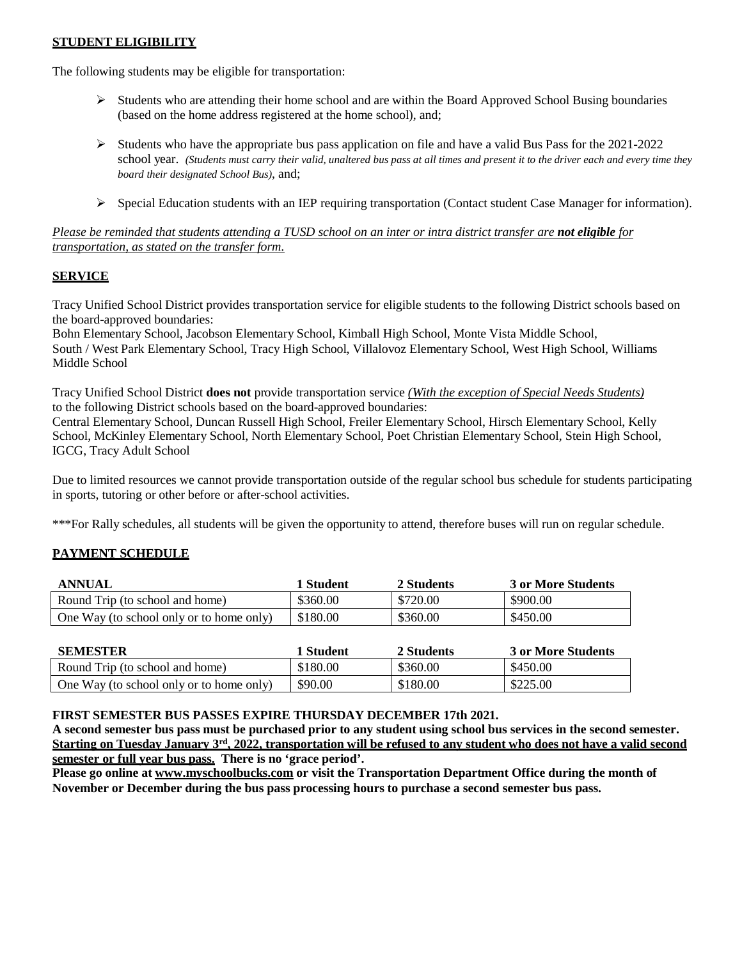# **STUDENT ELIGIBILITY**

The following students may be eligible for transportation:

- $\triangleright$  Students who are attending their home school and are within the Board Approved School Busing boundaries (based on the home address registered at the home school), and;
- $\triangleright$  Students who have the appropriate bus pass application on file and have a valid Bus Pass for the 2021-2022 school year. (Students must carry their valid, unaltered bus pass at all times and present it to the driver each and every time they *board their designated School Bus)*, and;
- $\triangleright$  Special Education students with an IEP requiring transportation (Contact student Case Manager for information).

*Please be reminded that students attending a TUSD school on an inter or intra district transfer are not eligible for transportation, as stated on the transfer form.*

### **SERVICE**

Tracy Unified School District provides transportation service for eligible students to the following District schools based on the board-approved boundaries:

Bohn Elementary School, Jacobson Elementary School, Kimball High School, Monte Vista Middle School, South / West Park Elementary School, Tracy High School, Villalovoz Elementary School, West High School, Williams Middle School

Tracy Unified School District **does not** provide transportation service *(With the exception of Special Needs Students)* to the following District schools based on the board-approved boundaries:

Central Elementary School, Duncan Russell High School, Freiler Elementary School, Hirsch Elementary School, Kelly School, McKinley Elementary School, North Elementary School, Poet Christian Elementary School, Stein High School, IGCG, Tracy Adult School

Due to limited resources we cannot provide transportation outside of the regular school bus schedule for students participating in sports, tutoring or other before or after-school activities.

\*\*\*For Rally schedules, all students will be given the opportunity to attend, therefore buses will run on regular schedule.

# **PAYMENT SCHEDULE**

| ANNUAL                                   | 1 Student | 2 Students | 3 or More Students |
|------------------------------------------|-----------|------------|--------------------|
| Round Trip (to school and home)          | \$360.00  | \$720.00   | \$900.00           |
| One Way (to school only or to home only) | \$180.00  | \$360.00   | \$450.00           |

| <b>SEMESTER</b>                          | 1 Student | 2 Students | 3 or More Students |
|------------------------------------------|-----------|------------|--------------------|
| Round Trip (to school and home)          | \$180.00  | \$360.00   | \$450.00           |
| One Way (to school only or to home only) | \$90.00   | \$180.00   | \$225.00           |

#### **FIRST SEMESTER BUS PASSES EXPIRE THURSDAY DECEMBER 17th 2021.**

**A second semester bus pass must be purchased prior to any student using school bus services in the second semester. Starting on Tuesday January 3rd, 2022, transportation will be refused to any student who does not have a valid second semester or full year bus pass. There is no 'grace period'.**

**Please go online at [www.myschoolbucks.com](http://www.myschoolbucks.com/) or visit the Transportation Department Office during the month of November or December during the bus pass processing hours to purchase a second semester bus pass.**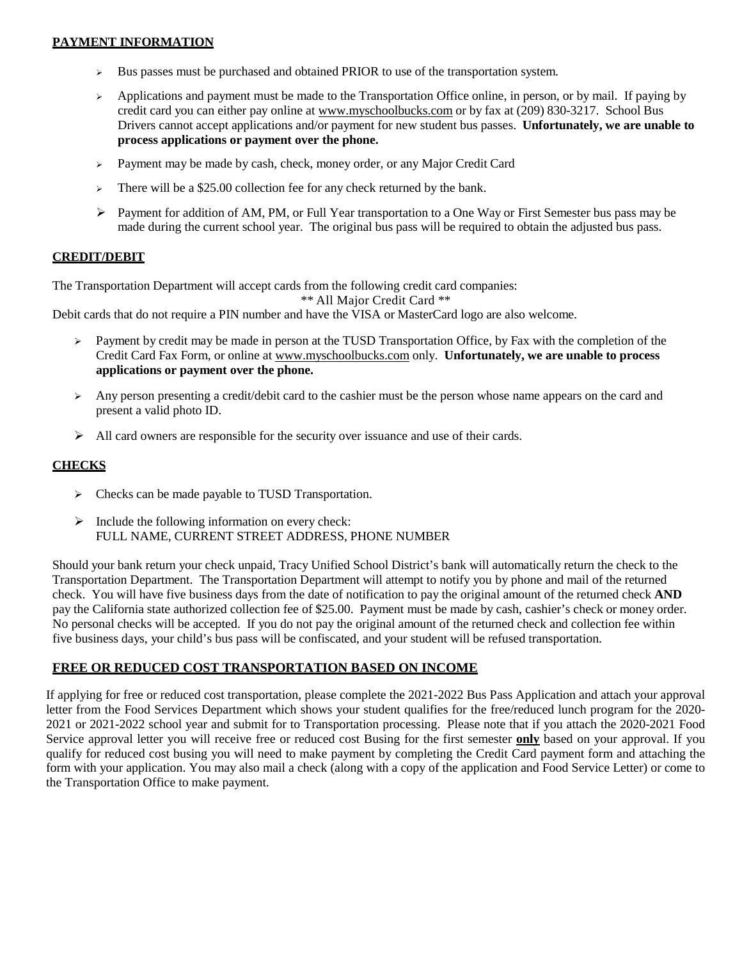# **PAYMENT INFORMATION**

- $\triangleright$  Bus passes must be purchased and obtained PRIOR to use of the transportation system.
- $\rightarrow$  Applications and payment must be made to the Transportation Office online, in person, or by mail. If paying by credit card you can either pay online at [www.myschoolbucks.com](http://www.myschoolbucks.com/) or by fax at (209) 830-3217. School Bus Drivers cannot accept applications and/or payment for new student bus passes. **Unfortunately, we are unable to process applications or payment over the phone.**
- > Payment may be made by cash, check, money order, or any Major Credit Card
- $\triangleright$  There will be a \$25.00 collection fee for any check returned by the bank.
- Payment for addition of AM, PM, or Full Year transportation to a One Way or First Semester bus pass may be made during the current school year. The original bus pass will be required to obtain the adjusted bus pass.

# **CREDIT/DEBIT**

The Transportation Department will accept cards from the following credit card companies:

\*\* All Major Credit Card \*\*

Debit cards that do not require a PIN number and have the VISA or MasterCard logo are also welcome.

- $\triangleright$  Payment by credit may be made in person at the TUSD Transportation Office, by Fax with the completion of the Credit Card Fax Form, or online at [www.myschoolbucks.com](http://www.myschoolbucks.com/) only. **Unfortunately, we are unable to process applications or payment over the phone.**
- Any person presenting a credit/debit card to the cashier must be the person whose name appears on the card and present a valid photo ID.
- $\triangleright$  All card owners are responsible for the security over issuance and use of their cards.

# **CHECKS**

- $\triangleright$  Checks can be made payable to TUSD Transportation.
- $\triangleright$  Include the following information on every check: FULL NAME, CURRENT STREET ADDRESS, PHONE NUMBER

Should your bank return your check unpaid, Tracy Unified School District's bank will automatically return the check to the Transportation Department. The Transportation Department will attempt to notify you by phone and mail of the returned check. You will have five business days from the date of notification to pay the original amount of the returned check **AND**  pay the California state authorized collection fee of \$25.00. Payment must be made by cash, cashier's check or money order. No personal checks will be accepted. If you do not pay the original amount of the returned check and collection fee within five business days, your child's bus pass will be confiscated, and your student will be refused transportation.

# **FREE OR REDUCED COST TRANSPORTATION BASED ON INCOME**

If applying for free or reduced cost transportation, please complete the 2021-2022 Bus Pass Application and attach your approval letter from the Food Services Department which shows your student qualifies for the free/reduced lunch program for the 2020- 2021 or 2021-2022 school year and submit for to Transportation processing. Please note that if you attach the 2020-2021 Food Service approval letter you will receive free or reduced cost Busing for the first semester **only** based on your approval. If you qualify for reduced cost busing you will need to make payment by completing the Credit Card payment form and attaching the form with your application. You may also mail a check (along with a copy of the application and Food Service Letter) or come to the Transportation Office to make payment.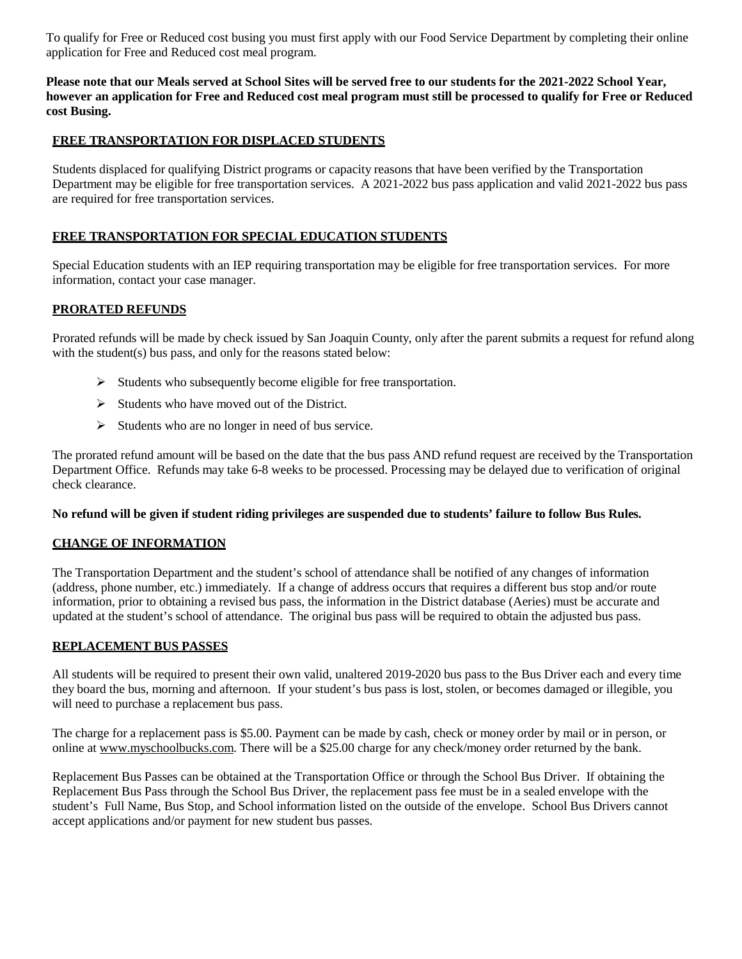To qualify for Free or Reduced cost busing you must first apply with our Food Service Department by completing their online application for Free and Reduced cost meal program.

### **Please note that our Meals served at School Sites will be served free to our students for the 2021-2022 School Year, however an application for Free and Reduced cost meal program must still be processed to qualify for Free or Reduced cost Busing.**

# **FREE TRANSPORTATION FOR DISPLACED STUDENTS**

Students displaced for qualifying District programs or capacity reasons that have been verified by the Transportation Department may be eligible for free transportation services. A 2021-2022 bus pass application and valid 2021-2022 bus pass are required for free transportation services.

# **FREE TRANSPORTATION FOR SPECIAL EDUCATION STUDENTS**

Special Education students with an IEP requiring transportation may be eligible for free transportation services. For more information, contact your case manager.

# **PRORATED REFUNDS**

Prorated refunds will be made by check issued by San Joaquin County, only after the parent submits a request for refund along with the student(s) bus pass, and only for the reasons stated below:

- $\triangleright$  Students who subsequently become eligible for free transportation.
- $\triangleright$  Students who have moved out of the District.
- $\triangleright$  Students who are no longer in need of bus service.

The prorated refund amount will be based on the date that the bus pass AND refund request are received by the Transportation Department Office. Refunds may take 6-8 weeks to be processed. Processing may be delayed due to verification of original check clearance.

#### **No refund will be given if student riding privileges are suspended due to students' failure to follow Bus Rules.**

# **CHANGE OF INFORMATION**

The Transportation Department and the student's school of attendance shall be notified of any changes of information (address, phone number, etc.) immediately. If a change of address occurs that requires a different bus stop and/or route information, prior to obtaining a revised bus pass, the information in the District database (Aeries) must be accurate and updated at the student's school of attendance. The original bus pass will be required to obtain the adjusted bus pass.

#### **REPLACEMENT BUS PASSES**

All students will be required to present their own valid, unaltered 2019-2020 bus pass to the Bus Driver each and every time they board the bus, morning and afternoon. If your student's bus pass is lost, stolen, or becomes damaged or illegible, you will need to purchase a replacement bus pass.

The charge for a replacement pass is \$5.00. Payment can be made by cash, check or money order by mail or in person, or online at [www.myschoolbucks.com.](http://www.myschoolbucks.com/) There will be a \$25.00 charge for any check/money order returned by the bank.

Replacement Bus Passes can be obtained at the Transportation Office or through the School Bus Driver. If obtaining the Replacement Bus Pass through the School Bus Driver, the replacement pass fee must be in a sealed envelope with the student's Full Name, Bus Stop, and School information listed on the outside of the envelope. School Bus Drivers cannot accept applications and/or payment for new student bus passes.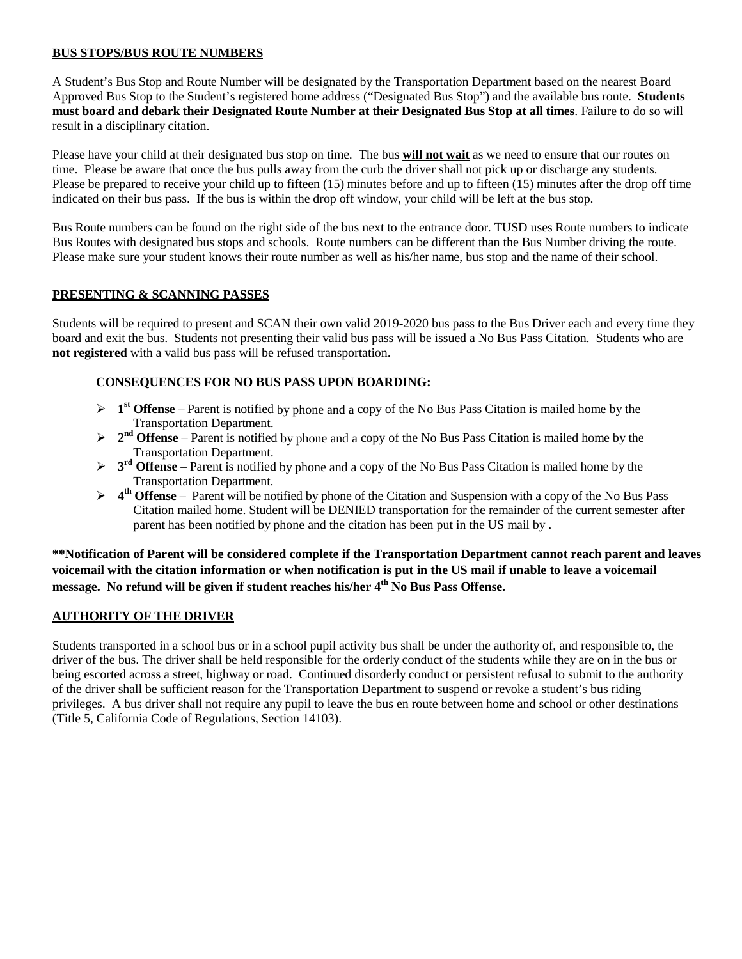# **BUS STOPS/BUS ROUTE NUMBERS**

A Student's Bus Stop and Route Number will be designated by the Transportation Department based on the nearest Board Approved Bus Stop to the Student's registered home address ("Designated Bus Stop") and the available bus route. **Students must board and debark their Designated Route Number at their Designated Bus Stop at all times**. Failure to do so will result in a disciplinary citation.

Please have your child at their designated bus stop on time. The bus **will not wait** as we need to ensure that our routes on time. Please be aware that once the bus pulls away from the curb the driver shall not pick up or discharge any students. Please be prepared to receive your child up to fifteen (15) minutes before and up to fifteen (15) minutes after the drop off time indicated on their bus pass. If the bus is within the drop off window, your child will be left at the bus stop.

Bus Route numbers can be found on the right side of the bus next to the entrance door. TUSD uses Route numbers to indicate Bus Routes with designated bus stops and schools. Route numbers can be different than the Bus Number driving the route. Please make sure your student knows their route number as well as his/her name, bus stop and the name of their school.

# **PRESENTING & SCANNING PASSES**

Students will be required to present and SCAN their own valid 2019-2020 bus pass to the Bus Driver each and every time they board and exit the bus. Students not presenting their valid bus pass will be issued a No Bus Pass Citation. Students who are **not registered** with a valid bus pass will be refused transportation.

# **CONSEQUENCES FOR NO BUS PASS UPON BOARDING:**

- $\triangleright$  **1**<sup>st</sup> Offense Parent is notified by phone and a copy of the No Bus Pass Citation is mailed home by the Transportation Department.
- **2<sup>nd</sup> Offense** Parent is notified by phone and a copy of the No Bus Pass Citation is mailed home by the Transportation Department.
- **3<sup>rd</sup> Offense** Parent is notified by phone and a copy of the No Bus Pass Citation is mailed home by the Transportation Department.
- **4th Offense**  Parent will be notified by phone of the Citation and Suspension with a copy of the No Bus Pass Citation mailed home. Student will be DENIED transportation for the remainder of the current semester after parent has been notified by phone and the citation has been put in the US mail by .

**\*\*Notification of Parent will be considered complete if the Transportation Department cannot reach parent and leaves voicemail with the citation information or when notification is put in the US mail if unable to leave a voicemail message. No refund will be given if student reaches his/her 4th No Bus Pass Offense.**

# **AUTHORITY OF THE DRIVER**

Students transported in a school bus or in a school pupil activity bus shall be under the authority of, and responsible to, the driver of the bus. The driver shall be held responsible for the orderly conduct of the students while they are on in the bus or being escorted across a street, highway or road. Continued disorderly conduct or persistent refusal to submit to the authority of the driver shall be sufficient reason for the Transportation Department to suspend or revoke a student's bus riding privileges. A bus driver shall not require any pupil to leave the bus en route between home and school or other destinations (Title 5, California Code of Regulations, Section 14103).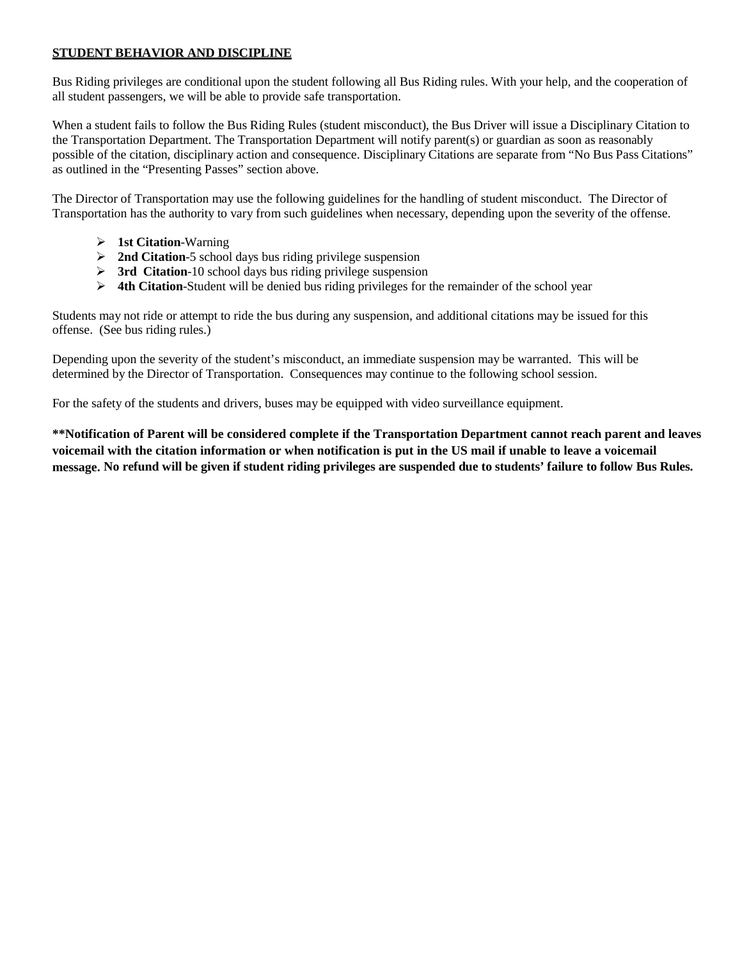# **STUDENT BEHAVIOR AND DISCIPLINE**

Bus Riding privileges are conditional upon the student following all Bus Riding rules. With your help, and the cooperation of all student passengers, we will be able to provide safe transportation.

When a student fails to follow the Bus Riding Rules (student misconduct), the Bus Driver will issue a Disciplinary Citation to the Transportation Department. The Transportation Department will notify parent(s) or guardian as soon as reasonably possible of the citation, disciplinary action and consequence. Disciplinary Citations are separate from "No Bus Pass Citations" as outlined in the "Presenting Passes" section above.

The Director of Transportation may use the following guidelines for the handling of student misconduct. The Director of Transportation has the authority to vary from such guidelines when necessary, depending upon the severity of the offense.

- **1st Citation**-Warning
- **2nd Citation**-5 school days bus riding privilege suspension
- **3rd Citation**-10 school days bus riding privilege suspension
- **4th Citation**-Student will be denied bus riding privileges for the remainder of the school year

Students may not ride or attempt to ride the bus during any suspension, and additional citations may be issued for this offense. (See bus riding rules.)

Depending upon the severity of the student's misconduct, an immediate suspension may be warranted. This will be determined by the Director of Transportation. Consequences may continue to the following school session.

For the safety of the students and drivers, buses may be equipped with video surveillance equipment.

**\*\*Notification of Parent will be considered complete if the Transportation Department cannot reach parent and leaves voicemail with the citation information or when notification is put in the US mail if unable to leave a voicemail message. No refund will be given if student riding privileges are suspended due to students' failure to follow Bus Rules.**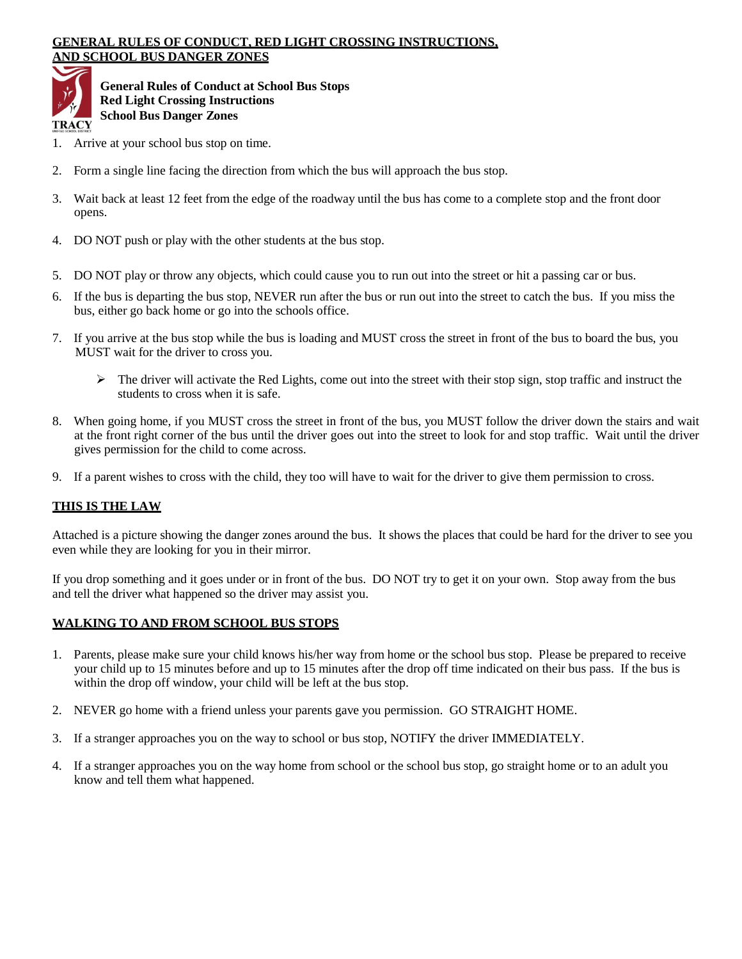#### **GENERAL RULES OF CONDUCT, RED LIGHT CROSSING INSTRUCTIONS, AND SCHOOL BUS DANGER ZONES**



**General Rules of Conduct at School Bus Stops Red Light Crossing Instructions School Bus Danger Zones**

- 1. Arrive at your school bus stop on time.
- 2. Form a single line facing the direction from which the bus will approach the bus stop.
- 3. Wait back at least 12 feet from the edge of the roadway until the bus has come to a complete stop and the front door opens.
- 4. DO NOT push or play with the other students at the bus stop.
- 5. DO NOT play or throw any objects, which could cause you to run out into the street or hit a passing car or bus.
- 6. If the bus is departing the bus stop, NEVER run after the bus or run out into the street to catch the bus. If you miss the bus, either go back home or go into the schools office.
- 7. If you arrive at the bus stop while the bus is loading and MUST cross the street in front of the bus to board the bus, you MUST wait for the driver to cross you.
	- $\triangleright$  The driver will activate the Red Lights, come out into the street with their stop sign, stop traffic and instruct the students to cross when it is safe.
- 8. When going home, if you MUST cross the street in front of the bus, you MUST follow the driver down the stairs and wait at the front right corner of the bus until the driver goes out into the street to look for and stop traffic. Wait until the driver gives permission for the child to come across.
- 9. If a parent wishes to cross with the child, they too will have to wait for the driver to give them permission to cross.

# **THIS IS THE LAW**

Attached is a picture showing the danger zones around the bus. It shows the places that could be hard for the driver to see you even while they are looking for you in their mirror.

If you drop something and it goes under or in front of the bus. DO NOT try to get it on your own. Stop away from the bus and tell the driver what happened so the driver may assist you.

#### **WALKING TO AND FROM SCHOOL BUS STOPS**

- 1. Parents, please make sure your child knows his/her way from home or the school bus stop. Please be prepared to receive your child up to 15 minutes before and up to 15 minutes after the drop off time indicated on their bus pass. If the bus is within the drop off window, your child will be left at the bus stop.
- 2. NEVER go home with a friend unless your parents gave you permission. GO STRAIGHT HOME.
- 3. If a stranger approaches you on the way to school or bus stop, NOTIFY the driver IMMEDIATELY.
- 4. If a stranger approaches you on the way home from school or the school bus stop, go straight home or to an adult you know and tell them what happened.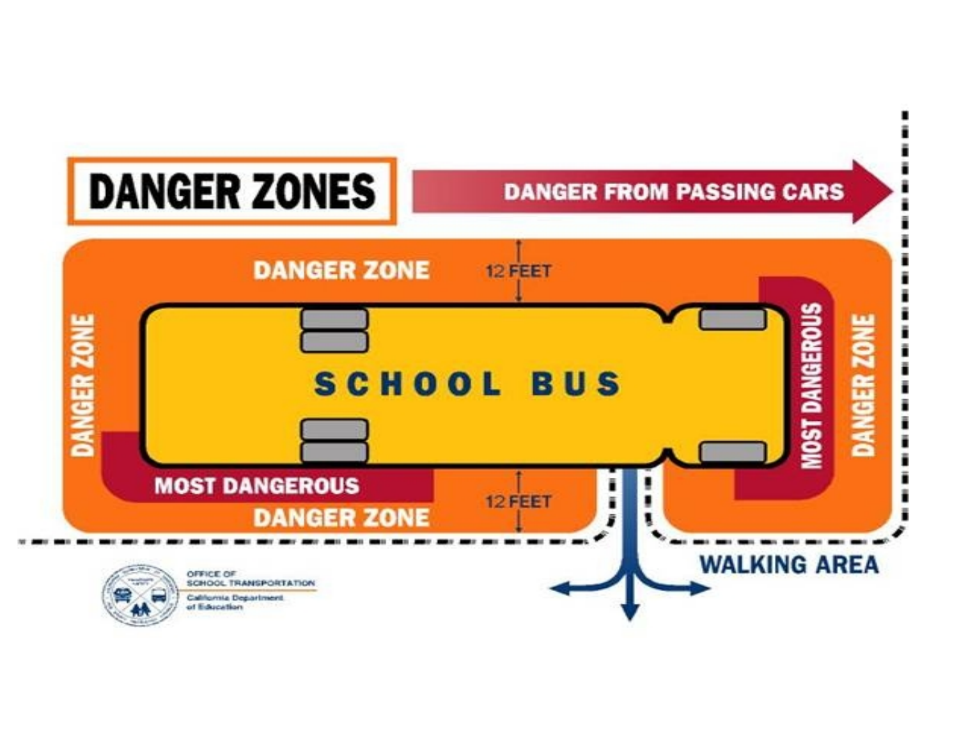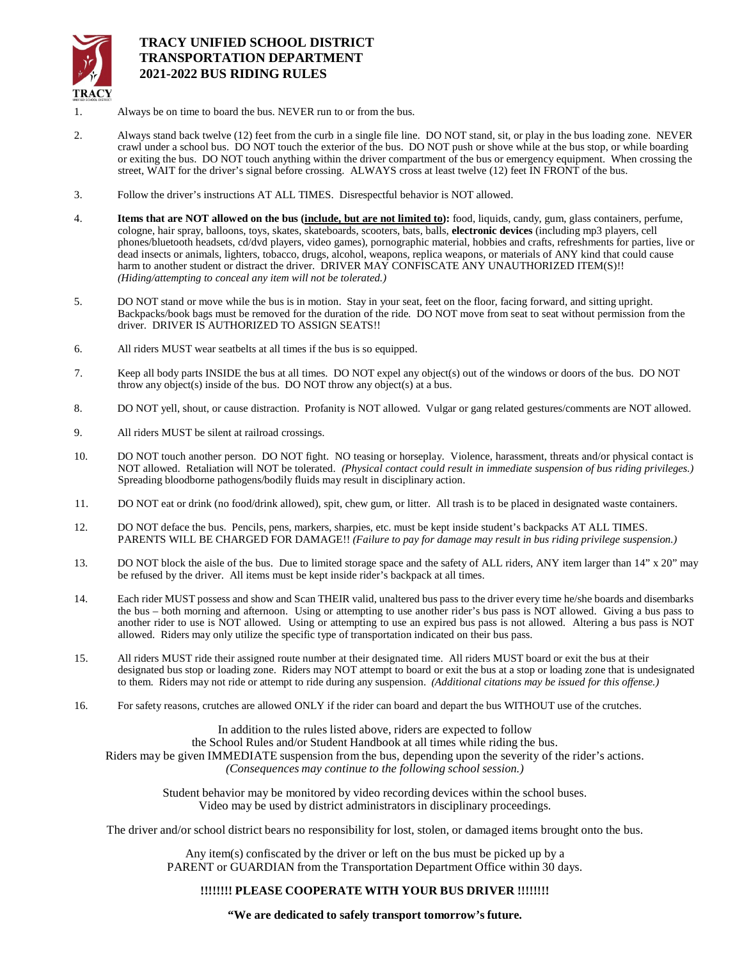

# **TRACY UNIFIED SCHOOL DISTRICT TRANSPORTATION DEPARTMENT 2021-2022 BUS RIDING RULES**

- 1. Always be on time to board the bus. NEVER run to or from the bus.
- 2. Always stand back twelve (12) feet from the curb in a single file line. DO NOT stand, sit, or play in the bus loading zone. NEVER crawl under a school bus. DO NOT touch the exterior of the bus. DO NOT push or shove while at the bus stop, or while boarding or exiting the bus. DO NOT touch anything within the driver compartment of the bus or emergency equipment. When crossing the street, WAIT for the driver's signal before crossing. ALWAYS cross at least twelve (12) feet IN FRONT of the bus.
- 3. Follow the driver's instructions AT ALL TIMES. Disrespectful behavior is NOT allowed.
- 4. **Items that are NOT allowed on the bus (include, but are not limited to):** food, liquids, candy, gum, glass containers, perfume, cologne, hair spray, balloons, toys, skates, skateboards, scooters, bats, balls, **electronic devices** (including mp3 players, cell phones/bluetooth headsets, cd/dvd players, video games), pornographic material, hobbies and crafts, refreshments for parties, live or dead insects or animals, lighters, tobacco, drugs, alcohol, weapons, replica weapons, or materials of ANY kind that could cause harm to another student or distract the driver. DRIVER MAY CONFISCATE ANY UNAUTHORIZED ITEM(S)!! *(Hiding/attempting to conceal any item will not be tolerated.)*
- 5. DO NOT stand or move while the bus is in motion. Stay in your seat, feet on the floor, facing forward, and sitting upright. Backpacks/book bags must be removed for the duration of the ride. DO NOT move from seat to seat without permission from the driver. DRIVER IS AUTHORIZED TO ASSIGN SEATS!!
- 6. All riders MUST wear seatbelts at all times if the bus is so equipped.
- 7. Keep all body parts INSIDE the bus at all times. DO NOT expel any object(s) out of the windows or doors of the bus. DO NOT throw any object(s) inside of the bus. DO NOT throw any object(s) at a bus.
- 8. DO NOT yell, shout, or cause distraction. Profanity is NOT allowed. Vulgar or gang related gestures/comments are NOT allowed.
- 9. All riders MUST be silent at railroad crossings.
- 10. DO NOT touch another person. DO NOT fight. NO teasing or horseplay. Violence, harassment, threats and/or physical contact is NOT allowed. Retaliation will NOT be tolerated. *(Physical contact could result in immediate suspension of bus riding privileges.)*  Spreading bloodborne pathogens/bodily fluids may result in disciplinary action.
- 11. DO NOT eat or drink (no food/drink allowed), spit, chew gum, or litter. All trash is to be placed in designated waste containers.
- 12. DO NOT deface the bus. Pencils, pens, markers, sharpies, etc. must be kept inside student's backpacks AT ALL TIMES. PARENTS WILL BE CHARGED FOR DAMAGE!! *(Failure to pay for damage may result in bus riding privilege suspension.)*
- 13. DO NOT block the aisle of the bus. Due to limited storage space and the safety of ALL riders, ANY item larger than 14" x 20" may be refused by the driver. All items must be kept inside rider's backpack at all times.
- 14. Each rider MUST possess and show and Scan THEIR valid, unaltered bus pass to the driver every time he/she boards and disembarks the bus – both morning and afternoon. Using or attempting to use another rider's bus pass is NOT allowed. Giving a bus pass to another rider to use is NOT allowed. Using or attempting to use an expired bus pass is not allowed. Altering a bus pass is NOT allowed. Riders may only utilize the specific type of transportation indicated on their bus pass.
- 15. All riders MUST ride their assigned route number at their designated time. All riders MUST board or exit the bus at their designated bus stop or loading zone. Riders may NOT attempt to board or exit the bus at a stop or loading zone that is undesignated to them. Riders may not ride or attempt to ride during any suspension. *(Additional citations may be issued for this offense.)*
- 16. For safety reasons, crutches are allowed ONLY if the rider can board and depart the bus WITHOUT use of the crutches.

In addition to the rules listed above, riders are expected to follow the School Rules and/or Student Handbook at all times while riding the bus. Riders may be given IMMEDIATE suspension from the bus, depending upon the severity of the rider's actions. *(Consequences may continue to the following school session.)*

> Student behavior may be monitored by video recording devices within the school buses. Video may be used by district administratorsin disciplinary proceedings.

The driver and/or school district bears no responsibility for lost, stolen, or damaged items brought onto the bus.

Any item(s) confiscated by the driver or left on the bus must be picked up by a PARENT or GUARDIAN from the Transportation Department Office within 30 days.

#### **!!!!!!!! PLEASE COOPERATE WITH YOUR BUS DRIVER !!!!!!!!**

**"We are dedicated to safely transport tomorrow's future.**